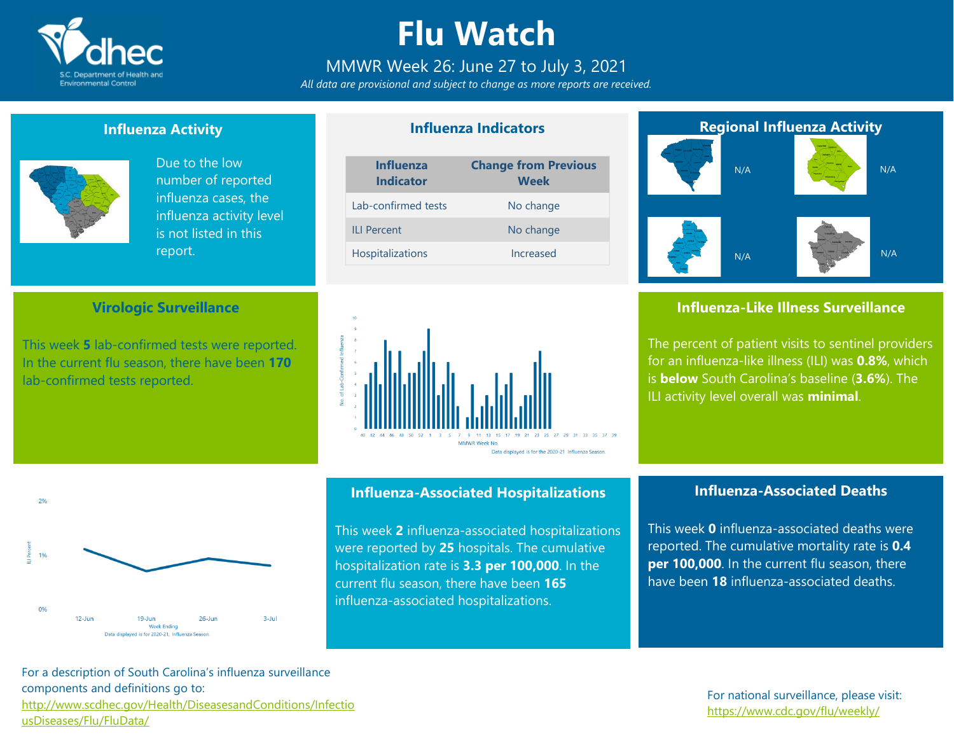

# **Flu Watch**

# MMWR Week 26: June 27 to July 3, 2021

*All data are provisional and subject to change as more reports are received.*

**Influenza Indicators**

### **Influenza Activity**



 $20/$ 

 $19$ 

 $0%$ 

 $12$ -Jur

Due to the low number of reported influenza cases, the influenza activity level is not listed in this report.

### **Virologic Surveillance**

This week **5** lab-confirmed tests were reported. In the current flu season, there have been **170** lab-confirmed tests reported.





## **Influenza-Associated Hospitalizations**

This week **2** influenza-associated hospitalizations were reported by **25** hospitals. The cumulative hospitalization rate is **3.3 per 100,000**. In the current flu season, there have been **165** influenza-associated hospitalizations.

# **Regional Influenza Activity** N/A N/A N/A N/A

## **Influenza-Like Illness Surveillance**

The percent of patient visits to sentinel providers for an influenza-like illness (ILI) was **0.8%**, which is **below** South Carolina's baseline (**3.6%**). The ILI activity level overall was **minimal**.

# **Influenza-Associated Deaths**

This week **0** influenza-associated deaths were reported. The cumulative mortality rate is **0.4 per 100,000**. In the current flu season, there have been **18** influenza-associated deaths.

For a description of South Carolina's influenza surveillance components and definitions go to: [http://www.scdhec.gov/Health/DiseasesandConditions/Infectio](http://www.scdhec.gov/Health/DiseasesandConditions/InfectiousDiseases/Flu/FluData/) [usDiseases/Flu/FluData/](http://www.scdhec.gov/Health/DiseasesandConditions/InfectiousDiseases/Flu/FluData/)

 $19 - \lim$ Week Ending Data displayed is for 2020-21. Influenza Season

 $26 - \lim$ 

 $3 - 10$ 

### For national surveillance, please visit: <https://www.cdc.gov/flu/weekly/>

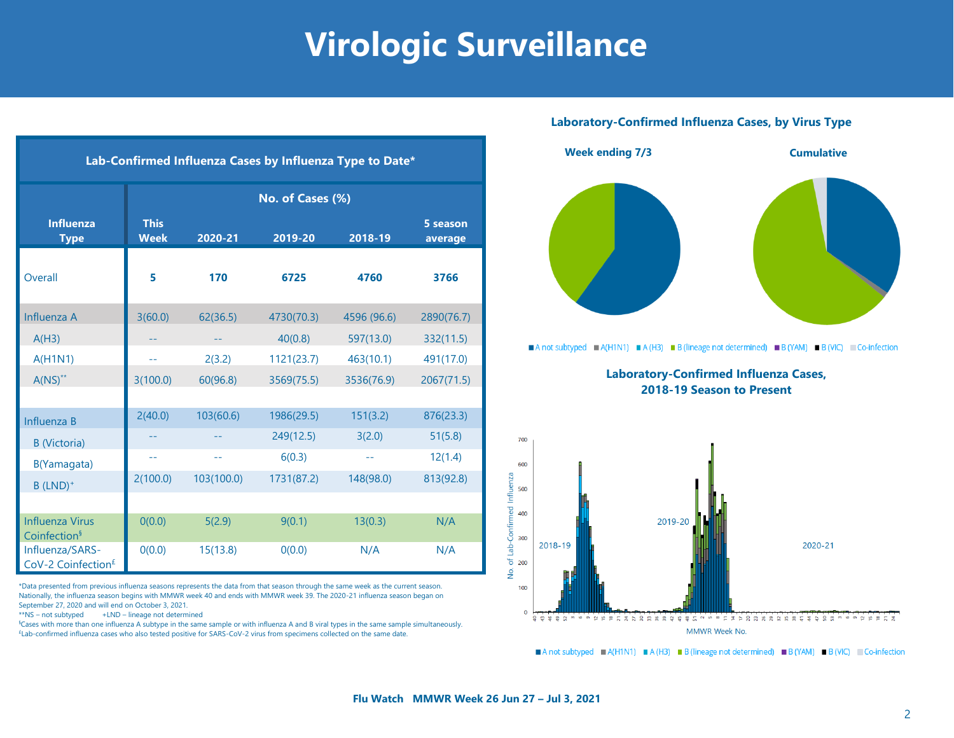# **Virologic Surveillance**

| Lab-Confirmed Influenza Cases by Influenza Type to Date* |                            |            |            |             |                     |  |  |  |  |
|----------------------------------------------------------|----------------------------|------------|------------|-------------|---------------------|--|--|--|--|
|                                                          | No. of Cases (%)           |            |            |             |                     |  |  |  |  |
| <b>Influenza</b><br><b>Type</b>                          | <b>This</b><br><b>Week</b> | 2020-21    | 2019-20    | 2018-19     | 5 season<br>average |  |  |  |  |
| Overall                                                  | 5                          | 170        | 6725       | 4760        | 3766                |  |  |  |  |
| Influenza A                                              | 3(60.0)                    | 62(36.5)   | 4730(70.3) | 4596 (96.6) | 2890(76.7)          |  |  |  |  |
| A(H3)                                                    |                            |            | 40(0.8)    | 597(13.0)   | 332(11.5)           |  |  |  |  |
| A(H1N1)                                                  |                            | 2(3.2)     | 1121(23.7) | 463(10.1)   | 491(17.0)           |  |  |  |  |
| $A(NS)^{**}$                                             | 3(100.0)                   | 60(96.8)   | 3569(75.5) | 3536(76.9)  | 2067(71.5)          |  |  |  |  |
|                                                          |                            |            |            |             |                     |  |  |  |  |
| Influenza B                                              | 2(40.0)                    | 103(60.6)  | 1986(29.5) | 151(3.2)    | 876(23.3)           |  |  |  |  |
| <b>B</b> (Victoria)                                      |                            |            | 249(12.5)  | 3(2.0)      | 51(5.8)             |  |  |  |  |
| B(Yamagata)                                              | 44                         | $-1$       | 6(0.3)     | --          | 12(1.4)             |  |  |  |  |
| $B$ (LND) <sup>+</sup>                                   | 2(100.0)                   | 103(100.0) | 1731(87.2) | 148(98.0)   | 813(92.8)           |  |  |  |  |
|                                                          |                            |            |            |             |                     |  |  |  |  |
| <b>Influenza Virus</b><br>Coinfection <sup>§</sup>       | O(0.0)                     | 5(2.9)     | 9(0.1)     | 13(0.3)     | N/A                 |  |  |  |  |
| Influenza/SARS-<br>CoV-2 Coinfection <sup>£</sup>        | O(0.0)                     | 15(13.8)   | 0(0.0)     | N/A         | N/A                 |  |  |  |  |

\*Data presented from previous influenza seasons represents the data from that season through the same week as the current season. Nationally, the influenza season begins with MMWR week 40 and ends with MMWR week 39. The 2020-21 influenza season began on September 27, 2020 and will end on October 3, 2021.

\*\*NS – not subtyped +LND – lineage not determined

§Cases with more than one influenza A subtype in the same sample or with influenza A and B viral types in the same sample simultaneously. £Lab-confirmed influenza cases who also tested positive for SARS-CoV-2 virus from specimens collected on the same date.

### **Laboratory-Confirmed Influenza Cases, by Virus Type**



A not subtyped  $\blacksquare$  A(H1N1)  $\blacksquare$  A(H3)  $\blacksquare$  B (lineage not determined)  $\blacksquare$  B (YAM)  $\blacksquare$  B (VIC)  $\blacksquare$  Co-infection

**Laboratory-Confirmed Influenza Cases, 2018-19 Season to Present**



A not subtyped  $A(H1N1) = A(H3) = B$  (lineage not determined) B (YAM) B (VIC) Co-infection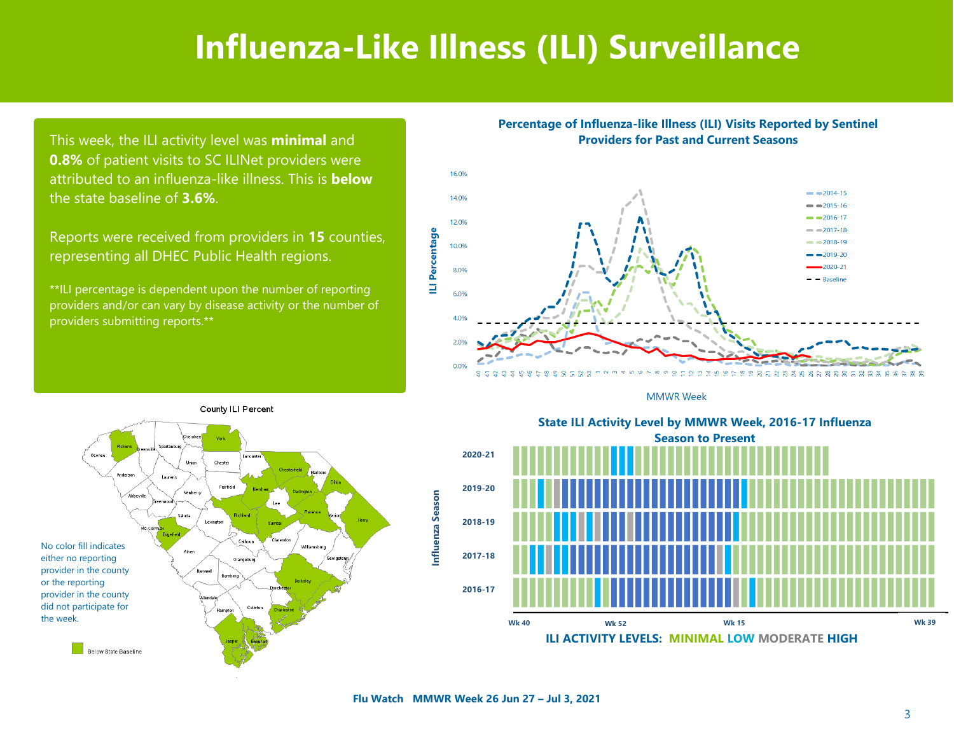# **Influenza-Like Illness (ILI) Surveillance**

This week, the ILI activity level was **minimal** and **0.8%** of patient visits to SC ILINet providers were attributed to an influenza-like illness. This is **below**  the state baseline of **3.6%**.

Reports were received from providers in **15** counties, representing all DHEC Public Health regions.

\*\*ILI percentage is dependent upon the number of reporting providers and/or can vary by disease activity or the number of providers submitting reports.\*\*

**Percentage of Influenza-like Illness (ILI) Visits Reported by Sentinel Providers for Past and Current Seasons**







State ILI Activity Level by MMWR Week, 2016-17 Influenza **Season to Present** Season to Present **State ILI Activity Level by MMWR Week, 2016-17 Influenza**